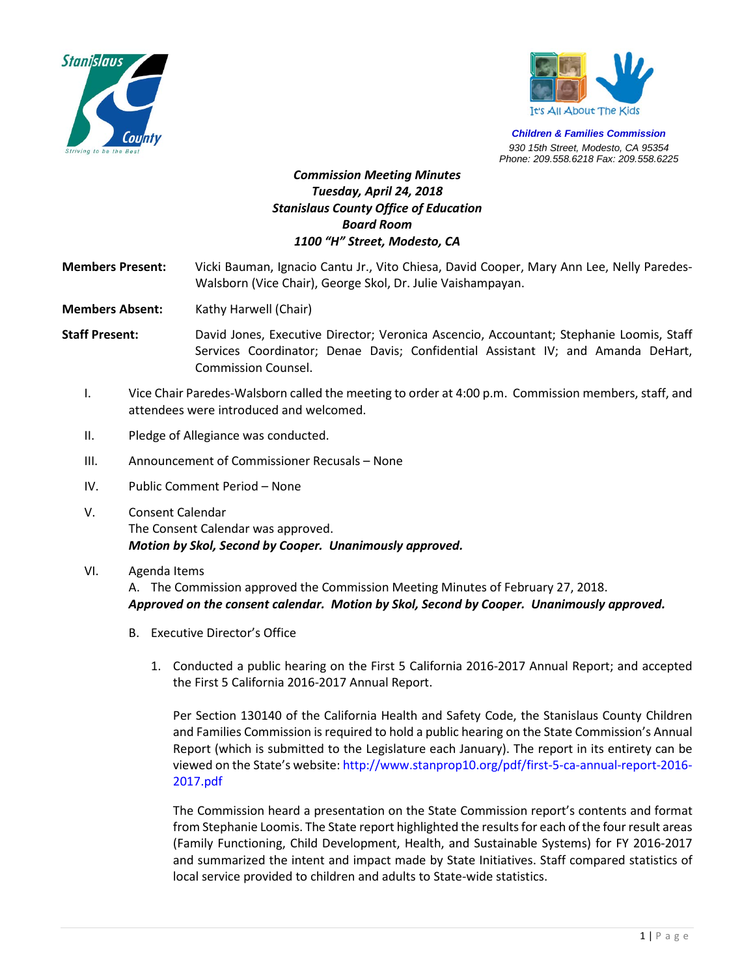



*Children & Families Commission 930 15th Street, Modesto, CA 95354 Phone: 209.558.6218 Fax: 209.558.6225*

## *Commission Meeting Minutes Tuesday, April 24, 2018 Stanislaus County Office of Education Board Room 1100 "H" Street, Modesto, CA*

**Members Present:** Vicki Bauman, Ignacio Cantu Jr., Vito Chiesa, David Cooper, Mary Ann Lee, Nelly Paredes-Walsborn (Vice Chair), George Skol, Dr. Julie Vaishampayan.

**Members Absent:** Kathy Harwell (Chair)

**Staff Present:** David Jones, Executive Director; Veronica Ascencio, Accountant; Stephanie Loomis, Staff Services Coordinator; Denae Davis; Confidential Assistant IV; and Amanda DeHart, Commission Counsel.

- I. Vice Chair Paredes-Walsborn called the meeting to order at 4:00 p.m. Commission members, staff, and attendees were introduced and welcomed.
- II. Pledge of Allegiance was conducted.
- III. Announcement of Commissioner Recusals None
- IV. Public Comment Period None
- V. Consent Calendar The Consent Calendar was approved. *Motion by Skol, Second by Cooper. Unanimously approved.*

## VI. Agenda Items

A. The Commission approved the Commission Meeting Minutes of February 27, 2018. *Approved on the consent calendar. Motion by Skol, Second by Cooper. Unanimously approved.*

- B. Executive Director's Office
	- 1. Conducted a public hearing on the First 5 California 2016-2017 Annual Report; and accepted the First 5 California 2016-2017 Annual Report.

Per Section 130140 of the California Health and Safety Code, the Stanislaus County Children and Families Commission is required to hold a public hearing on the State Commission's Annual Report (which is submitted to the Legislature each January). The report in its entirety can be viewed on the State's website: http://www.stanprop10.org/pdf/first-5-ca-annual-report-2016- 2017.pdf

The Commission heard a presentation on the State Commission report's contents and format from Stephanie Loomis. The State report highlighted the results for each of the four result areas (Family Functioning, Child Development, Health, and Sustainable Systems) for FY 2016-2017 and summarized the intent and impact made by State Initiatives. Staff compared statistics of local service provided to children and adults to State-wide statistics.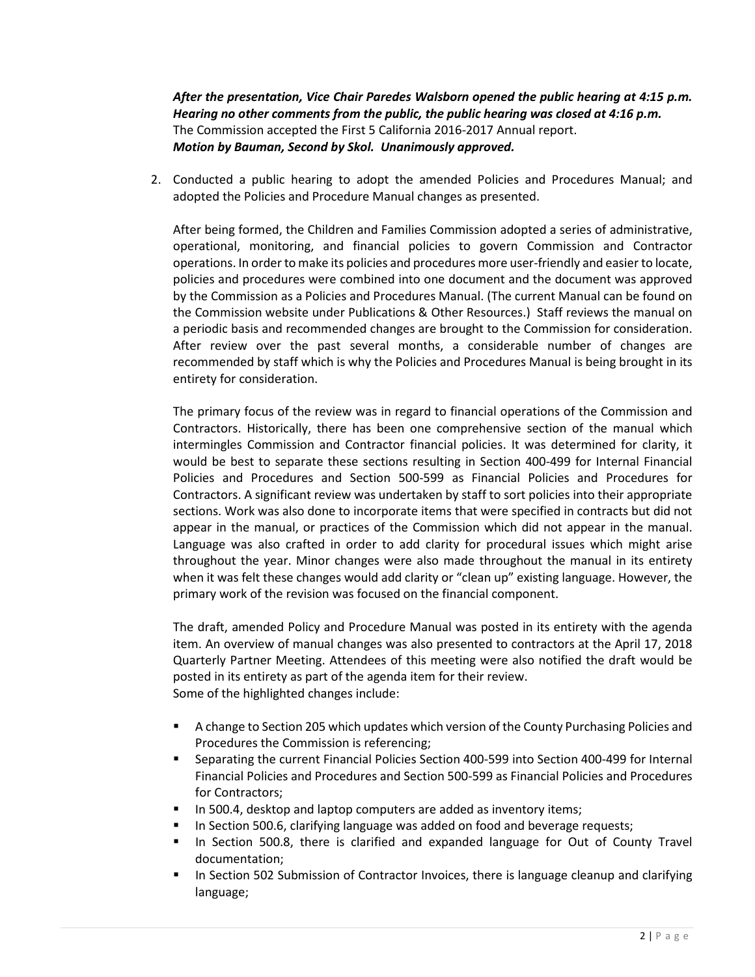*After the presentation, Vice Chair Paredes Walsborn opened the public hearing at 4:15 p.m. Hearing no other comments from the public, the public hearing was closed at 4:16 p.m.*  The Commission accepted the First 5 California 2016-2017 Annual report. *Motion by Bauman, Second by Skol. Unanimously approved.*

2. Conducted a public hearing to adopt the amended Policies and Procedures Manual; and adopted the Policies and Procedure Manual changes as presented.

After being formed, the Children and Families Commission adopted a series of administrative, operational, monitoring, and financial policies to govern Commission and Contractor operations. In order to make its policies and procedures more user-friendly and easier to locate, policies and procedures were combined into one document and the document was approved by the Commission as a Policies and Procedures Manual. (The current Manual can be found on the Commission website under Publications & Other Resources.) Staff reviews the manual on a periodic basis and recommended changes are brought to the Commission for consideration. After review over the past several months, a considerable number of changes are recommended by staff which is why the Policies and Procedures Manual is being brought in its entirety for consideration.

The primary focus of the review was in regard to financial operations of the Commission and Contractors. Historically, there has been one comprehensive section of the manual which intermingles Commission and Contractor financial policies. It was determined for clarity, it would be best to separate these sections resulting in Section 400-499 for Internal Financial Policies and Procedures and Section 500-599 as Financial Policies and Procedures for Contractors. A significant review was undertaken by staff to sort policies into their appropriate sections. Work was also done to incorporate items that were specified in contracts but did not appear in the manual, or practices of the Commission which did not appear in the manual. Language was also crafted in order to add clarity for procedural issues which might arise throughout the year. Minor changes were also made throughout the manual in its entirety when it was felt these changes would add clarity or "clean up" existing language. However, the primary work of the revision was focused on the financial component.

The draft, amended Policy and Procedure Manual was posted in its entirety with the agenda item. An overview of manual changes was also presented to contractors at the April 17, 2018 Quarterly Partner Meeting. Attendees of this meeting were also notified the draft would be posted in its entirety as part of the agenda item for their review. Some of the highlighted changes include:

- A change to Section 205 which updates which version of the County Purchasing Policies and Procedures the Commission is referencing;
- **Separating the current Financial Policies Section 400-599 into Section 400-499 for Internal** Financial Policies and Procedures and Section 500-599 as Financial Policies and Procedures for Contractors;
- In 500.4, desktop and laptop computers are added as inventory items;
- **IFM** In Section 500.6, clarifying language was added on food and beverage requests;
- In Section 500.8, there is clarified and expanded language for Out of County Travel documentation;
- **In Section 502 Submission of Contractor Invoices, there is language cleanup and clarifying** language;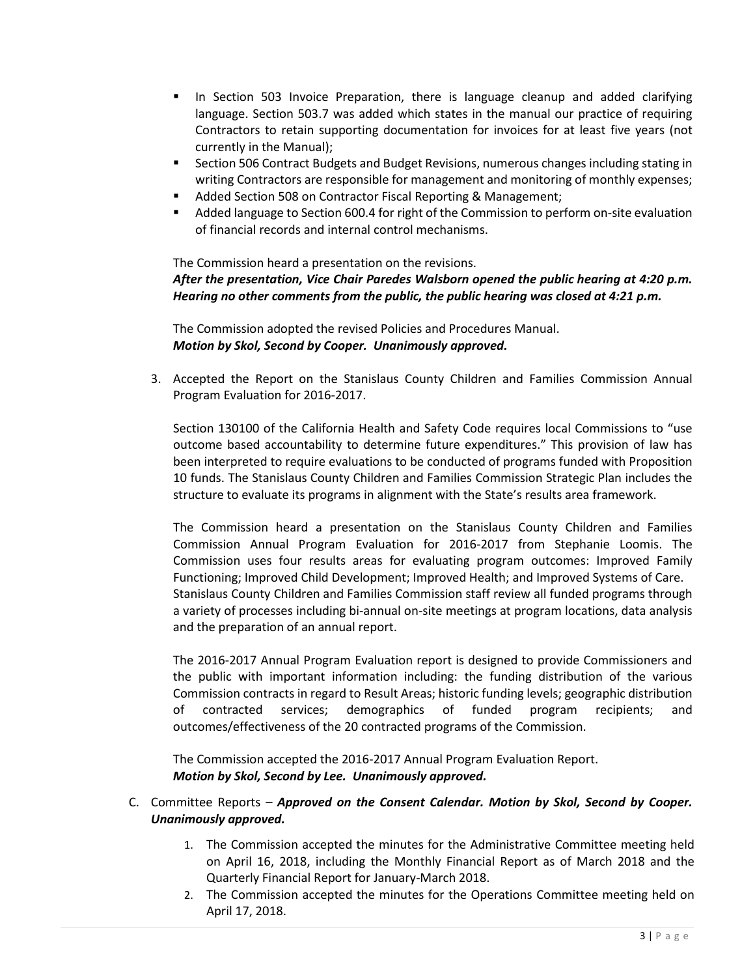- **IF In Section 503 Invoice Preparation, there is language cleanup and added clarifying** language. Section 503.7 was added which states in the manual our practice of requiring Contractors to retain supporting documentation for invoices for at least five years (not currently in the Manual);
- **Section 506 Contract Budgets and Budget Revisions, numerous changes including stating in** writing Contractors are responsible for management and monitoring of monthly expenses;
- Added Section 508 on Contractor Fiscal Reporting & Management;
- Added language to Section 600.4 for right of the Commission to perform on-site evaluation of financial records and internal control mechanisms.

The Commission heard a presentation on the revisions. *After the presentation, Vice Chair Paredes Walsborn opened the public hearing at 4:20 p.m. Hearing no other comments from the public, the public hearing was closed at 4:21 p.m.* 

The Commission adopted the revised Policies and Procedures Manual. *Motion by Skol, Second by Cooper. Unanimously approved.*

3. Accepted the Report on the Stanislaus County Children and Families Commission Annual Program Evaluation for 2016-2017.

Section 130100 of the California Health and Safety Code requires local Commissions to "use outcome based accountability to determine future expenditures." This provision of law has been interpreted to require evaluations to be conducted of programs funded with Proposition 10 funds. The Stanislaus County Children and Families Commission Strategic Plan includes the structure to evaluate its programs in alignment with the State's results area framework.

The Commission heard a presentation on the Stanislaus County Children and Families Commission Annual Program Evaluation for 2016-2017 from Stephanie Loomis. The Commission uses four results areas for evaluating program outcomes: Improved Family Functioning; Improved Child Development; Improved Health; and Improved Systems of Care. Stanislaus County Children and Families Commission staff review all funded programs through a variety of processes including bi-annual on-site meetings at program locations, data analysis and the preparation of an annual report.

The 2016-2017 Annual Program Evaluation report is designed to provide Commissioners and the public with important information including: the funding distribution of the various Commission contracts in regard to Result Areas; historic funding levels; geographic distribution of contracted services; demographics of funded program recipients; and outcomes/effectiveness of the 20 contracted programs of the Commission.

The Commission accepted the 2016-2017 Annual Program Evaluation Report. *Motion by Skol, Second by Lee. Unanimously approved.*

## C. Committee Reports – *Approved on the Consent Calendar. Motion by Skol, Second by Cooper. Unanimously approved.*

- 1. The Commission accepted the minutes for the Administrative Committee meeting held on April 16, 2018, including the Monthly Financial Report as of March 2018 and the Quarterly Financial Report for January-March 2018.
- 2. The Commission accepted the minutes for the Operations Committee meeting held on April 17, 2018.